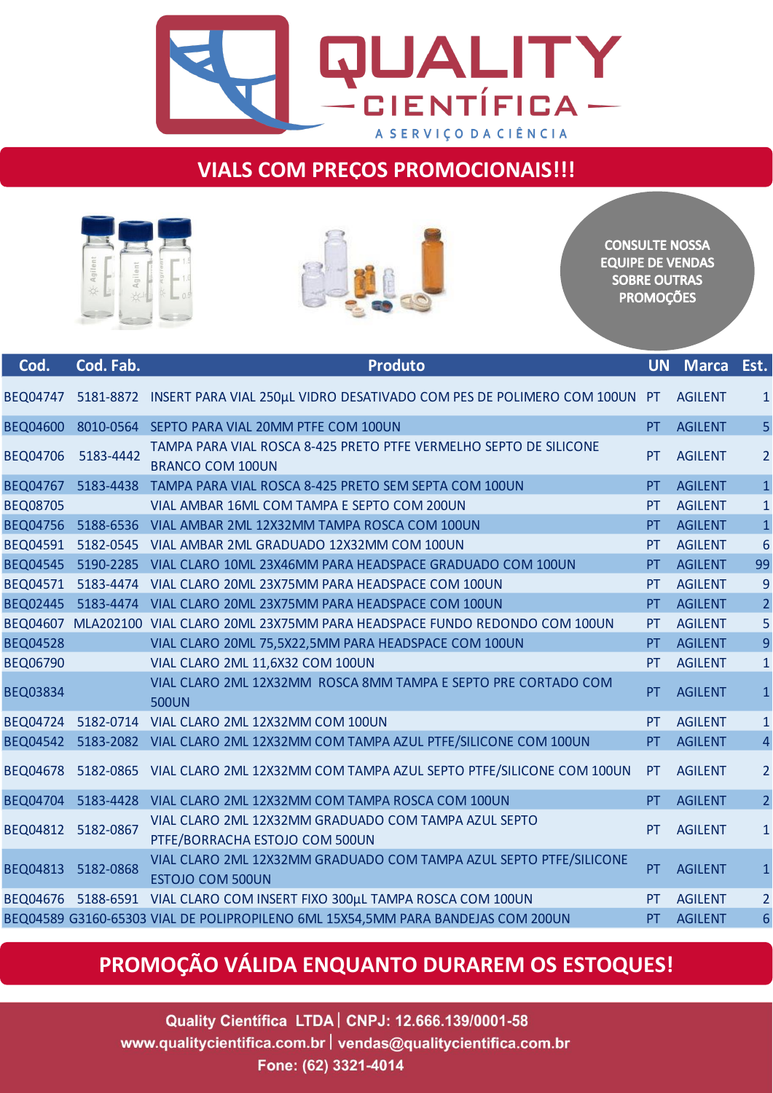

## **VIALS COM PREÇOS PROMOCIONAIS!!!**





**CONSULTE NOSSA EQUIPE DE VENDAS SOBRE OUTRAS PROMOÇÕES** 

| Cod.            | Cod. Fab. | <b>Produto</b>                                                                                | <b>UN</b> | <b>Marca</b>   | Est.           |
|-----------------|-----------|-----------------------------------------------------------------------------------------------|-----------|----------------|----------------|
| <b>BEQ04747</b> |           | 5181-8872 INSERT PARA VIAL 250µL VIDRO DESATIVADO COM PES DE POLIMERO COM 100UN PT            |           | <b>AGILENT</b> | $\mathbf{1}$   |
| <b>BEQ04600</b> |           | 8010-0564 SEPTO PARA VIAL 20MM PTFE COM 100UN                                                 | PT        | <b>AGILENT</b> | 5              |
| <b>BEQ04706</b> | 5183-4442 | TAMPA PARA VIAL ROSCA 8-425 PRETO PTFE VERMELHO SEPTO DE SILICONE<br><b>BRANCO COM 100UN</b>  | PT        | <b>AGILENT</b> | $\overline{2}$ |
| <b>BEQ04767</b> | 5183-4438 | TAMPA PARA VIAL ROSCA 8-425 PRETO SEM SEPTA COM 100UN                                         | PT.       | <b>AGILENT</b> | $\mathbf{1}$   |
| <b>BEQ08705</b> |           | VIAL AMBAR 16ML COM TAMPA E SEPTO COM 200UN                                                   | PT        | <b>AGILENT</b> | $\mathbf{1}$   |
| <b>BEQ04756</b> | 5188-6536 | VIAL AMBAR 2ML 12X32MM TAMPA ROSCA COM 100UN                                                  | PT.       | <b>AGILENT</b> | $\mathbf{1}$   |
| <b>BEQ04591</b> | 5182-0545 | VIAL AMBAR 2ML GRADUADO 12X32MM COM 100UN                                                     | PT        | <b>AGILENT</b> | 6              |
| <b>BEQ04545</b> | 5190-2285 | VIAL CLARO 10ML 23X46MM PARA HEADSPACE GRADUADO COM 100UN                                     | PT        | <b>AGILENT</b> | 99             |
| <b>BEQ04571</b> | 5183-4474 | VIAL CLARO 20ML 23X75MM PARA HEADSPACE COM 100UN                                              | PT        | <b>AGILENT</b> | 9              |
| <b>BEQ02445</b> | 5183-4474 | VIAL CLARO 20ML 23X75MM PARA HEADSPACE COM 100UN                                              | PT        | <b>AGILENT</b> | $\overline{2}$ |
|                 |           | BEQ04607 MLA202100 VIAL CLARO 20ML 23X75MM PARA HEADSPACE FUNDO REDONDO COM 100UN             | PT        | <b>AGILENT</b> | 5              |
| <b>BEQ04528</b> |           | VIAL CLARO 20ML 75,5X22,5MM PARA HEADSPACE COM 100UN                                          | PT        | <b>AGILENT</b> | 9              |
| <b>BEQ06790</b> |           | VIAL CLARO 2ML 11,6X32 COM 100UN                                                              | PT        | <b>AGILENT</b> | $\mathbf{1}$   |
| <b>BEQ03834</b> |           | VIAL CLARO 2ML 12X32MM ROSCA 8MM TAMPA E SEPTO PRE CORTADO COM<br><b>500UN</b>                | PT        | <b>AGILENT</b> | $\mathbf{1}$   |
| <b>BEQ04724</b> |           | 5182-0714 VIAL CLARO 2ML 12X32MM COM 100UN                                                    | PT        | <b>AGILENT</b> | $\mathbf{1}$   |
| <b>BEQ04542</b> |           | 5183-2082 VIAL CLARO 2ML 12X32MM COM TAMPA AZUL PTFE/SILICONE COM 100UN                       | PT        | <b>AGILENT</b> | $\overline{a}$ |
| <b>BEQ04678</b> |           | 5182-0865 VIAL CLARO 2ML 12X32MM COM TAMPA AZUL SEPTO PTFE/SILICONE COM 100UN                 | PT        | <b>AGILENT</b> | $\overline{2}$ |
| <b>BEQ04704</b> | 5183-4428 | VIAL CLARO 2ML 12X32MM COM TAMPA ROSCA COM 100UN                                              | PT        | <b>AGILENT</b> | $\overline{2}$ |
| BEQ04812        | 5182-0867 | VIAL CLARO 2ML 12X32MM GRADUADO COM TAMPA AZUL SEPTO<br>PTFE/BORRACHA ESTOJO COM 500UN        | PT        | <b>AGILENT</b> | $\mathbf{1}$   |
| <b>BEQ04813</b> | 5182-0868 | VIAL CLARO 2ML 12X32MM GRADUADO COM TAMPA AZUL SEPTO PTFE/SILICONE<br><b>ESTOJO COM 500UN</b> | PT        | <b>AGILENT</b> | $\mathbf{1}$   |
| <b>BEQ04676</b> |           | 5188-6591 VIAL CLARO COM INSERT FIXO 300µL TAMPA ROSCA COM 100UN                              | PT        | <b>AGILENT</b> | $\overline{2}$ |
|                 |           | BEQ04589 G3160-65303 VIAL DE POLIPROPILENO 6ML 15X54,5MM PARA BANDEJAS COM 200UN              | PT.       | <b>AGILENT</b> | 6              |

## **PROMOÇÃO VÁLIDA ENQUANTO DURAREM OS ESTOQUES!**

Quality Científica LTDA | CNPJ: 12.666.139/0001-58 www.qualitycientifica.com.br | vendas@qualitycientifica.com.br Fone: (62) 3321-4014